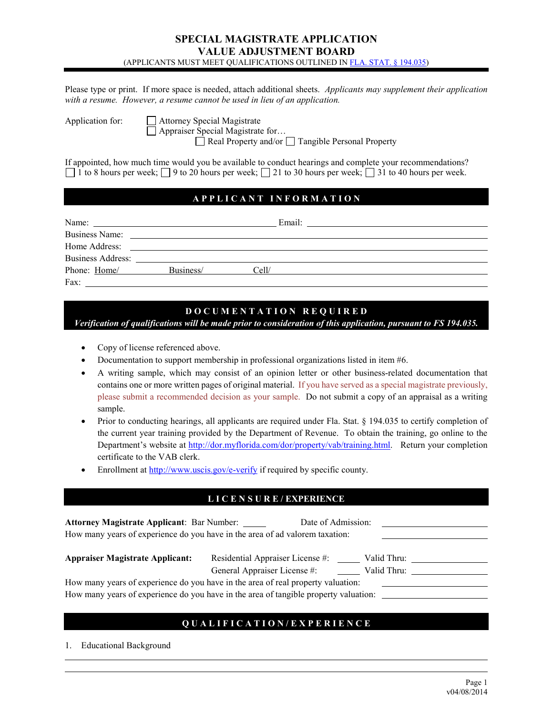### **SPECIAL MAGISTRATE APPLICATION VALUE ADJUSTMENT BOARD** (APPLICANTS MUST MEET QUALIFICATIONS OUTLINED I[N FLA. STAT. § 194.035\)](http://archive.flsenate.gov/Statutes/index.cfm?StatuteYear=2013&Tab=statutes&Submenu=1)

Please type or print. If more space is needed, attach additional sheets. *Applicants may supplement their application with a resume. However, a resume cannot be used in lieu of an application.*

Application for: <del>Ⅰ</del> Attorney Special Magistrate

Appraiser Special Magistrate for…

 $\Box$  Real Property and/or  $\Box$  Tangible Personal Property

If appointed, how much time would you be available to conduct hearings and complete your recommendations? 1 to 8 hours per week;  $\Box$  9 to 20 hours per week;  $\Box$  21 to 30 hours per week;  $\Box$  31 to 40 hours per week.

# **A P P L I C A N T I N F O R M A T I O N**

| Name:                    |           | Email: |  |
|--------------------------|-----------|--------|--|
| <b>Business Name:</b>    |           |        |  |
| Home Address:            |           |        |  |
| <b>Business Address:</b> |           |        |  |
| Phone: Home/             | Business/ | Cell/  |  |
| Fax:                     |           |        |  |

### **D O C U M E N T A T I O N R E Q U I R E D**

*Verification of qualifications will be made prior to consideration of this application, pursuant to FS 194.035.*

- Copy of license referenced above.
- Documentation to support membership in professional organizations listed in item #6.
- A writing sample, which may consist of an opinion letter or other business-related documentation that contains one or more written pages of original material. If you have served as a special magistrate previously, please submit a recommended decision as your sample. Do not submit a copy of an appraisal as a writing sample.
- Prior to conducting hearings, all applicants are required under Fla. Stat. § 194.035 to certify completion of the current year training provided by the Department of Revenue. To obtain the training, go online to the Department's website at [http://dor.myflorida.com/dor/property/vab/training.html.](http://dor.myflorida.com/dor/property/vab/training.html) Return your completion certificate to the VAB clerk.
- Enrollment at<http://www.uscis.gov/e-verify> if required by specific county.

### **L I C E N S U R E / EXPERIENCE**

| Attorney Magistrate Applicant: Bar Number: | Date of Admission:<br>How many years of experience do you have in the area of ad valorem taxation:                                                                       |                            |
|--------------------------------------------|--------------------------------------------------------------------------------------------------------------------------------------------------------------------------|----------------------------|
| Appraiser Magistrate Applicant:            | Residential Appraiser License #:<br>General Appraiser License #:                                                                                                         | Valid Thru:<br>Valid Thru: |
|                                            | How many years of experience do you have in the area of real property valuation:<br>How many years of experience do you have in the area of tangible property valuation: |                            |

## **Q U A L I F I C A T I O N / E X P E R I E N C E**

1. Educational Background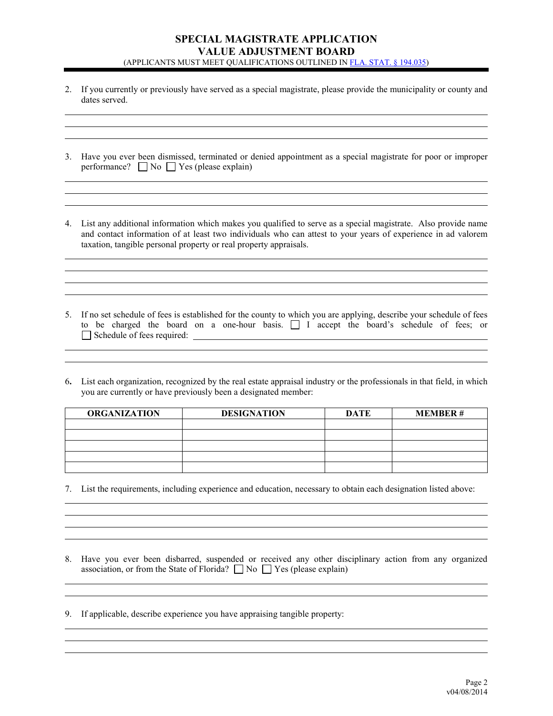### **SPECIAL MAGISTRATE APPLICATION VALUE ADJUSTMENT BOARD** (APPLICANTS MUST MEET QUALIFICATIONS OUTLINED I[N FLA. STAT. § 194.035\)](http://archive.flsenate.gov/Statutes/index.cfm?StatuteYear=2013&Tab=statutes&Submenu=1)

2. If you currently or previously have served as a special magistrate, please provide the municipality or county and dates served.

| 3. Have you ever been dismissed, terminated or denied appointment as a special magistrate for poor or improper |
|----------------------------------------------------------------------------------------------------------------|
| performance? $\Box$ No $\Box$ Yes (please explain)                                                             |

4. List any additional information which makes you qualified to serve as a special magistrate. Also provide name and contact information of at least two individuals who can attest to your years of experience in ad valorem taxation, tangible personal property or real property appraisals.

the control of the control of the control of the control of the control of the control of the control of the control of the control of the control of the control of the control of the control of the control of the control

<u> 1989 - Johann Stoff, deutscher Stoffen und der Stoffen und der Stoffen und der Stoffen und der Stoffen und der</u>

5. If no set schedule of fees is established for the county to which you are applying, describe your schedule of fees to be charged the board on a one-hour basis. I accept the board's schedule of fees; or Schedule of fees required:  $\Box$ 

6**.** List each organization, recognized by the real estate appraisal industry or the professionals in that field, in which you are currently or have previously been a designated member:

| <b>ORGANIZATION</b> | <b>DESIGNATION</b> | <b>DATE</b> | <b>MEMBER#</b> |
|---------------------|--------------------|-------------|----------------|
|                     |                    |             |                |
|                     |                    |             |                |
|                     |                    |             |                |
|                     |                    |             |                |
|                     |                    |             |                |

7. List the requirements, including experience and education, necessary to obtain each designation listed above:

8. Have you ever been disbarred, suspended or received any other disciplinary action from any organized association, or from the State of Florida?  $\Box$  No  $\Box$  Yes (please explain)

9. If applicable, describe experience you have appraising tangible property: